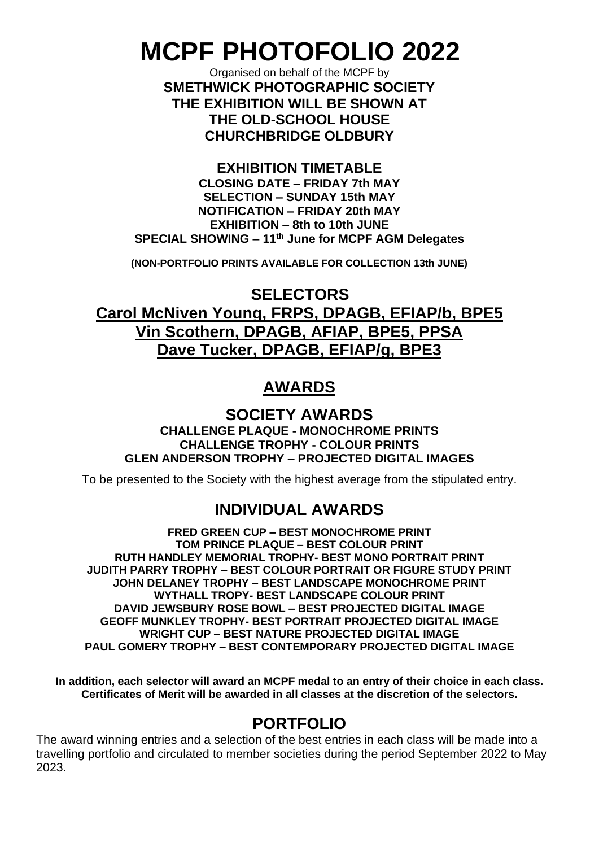# **MCPF PHOTOFOLIO 2022**

Organised on behalf of the MCPF by **SMETHWICK PHOTOGRAPHIC SOCIETY THE EXHIBITION WILL BE SHOWN AT THE OLD-SCHOOL HOUSE CHURCHBRIDGE OLDBURY**

**EXHIBITION TIMETABLE CLOSING DATE – FRIDAY 7th MAY SELECTION – SUNDAY 15th MAY NOTIFICATION – FRIDAY 20th MAY EXHIBITION – 8th to 10th JUNE SPECIAL SHOWING – 11 th June for MCPF AGM Delegates**

**(NON-PORTFOLIO PRINTS AVAILABLE FOR COLLECTION 13th JUNE)**

**SELECTORS**

**Carol McNiven Young, FRPS, DPAGB, EFIAP/b, BPE5 Vin Scothern, DPAGB, AFIAP, BPE5, PPSA Dave Tucker, DPAGB, EFIAP/g, BPE3**

# **AWARDS**

**SOCIETY AWARDS CHALLENGE PLAQUE - MONOCHROME PRINTS CHALLENGE TROPHY - COLOUR PRINTS GLEN ANDERSON TROPHY – PROJECTED DIGITAL IMAGES**

To be presented to the Society with the highest average from the stipulated entry.

# **INDIVIDUAL AWARDS**

**FRED GREEN CUP – BEST MONOCHROME PRINT TOM PRINCE PLAQUE – BEST COLOUR PRINT RUTH HANDLEY MEMORIAL TROPHY- BEST MONO PORTRAIT PRINT JUDITH PARRY TROPHY – BEST COLOUR PORTRAIT OR FIGURE STUDY PRINT JOHN DELANEY TROPHY – BEST LANDSCAPE MONOCHROME PRINT WYTHALL TROPY- BEST LANDSCAPE COLOUR PRINT DAVID JEWSBURY ROSE BOWL – BEST PROJECTED DIGITAL IMAGE GEOFF MUNKLEY TROPHY- BEST PORTRAIT PROJECTED DIGITAL IMAGE WRIGHT CUP – BEST NATURE PROJECTED DIGITAL IMAGE PAUL GOMERY TROPHY – BEST CONTEMPORARY PROJECTED DIGITAL IMAGE**

**In addition, each selector will award an MCPF medal to an entry of their choice in each class. Certificates of Merit will be awarded in all classes at the discretion of the selectors.**

## **PORTFOLIO**

The award winning entries and a selection of the best entries in each class will be made into a travelling portfolio and circulated to member societies during the period September 2022 to May 2023.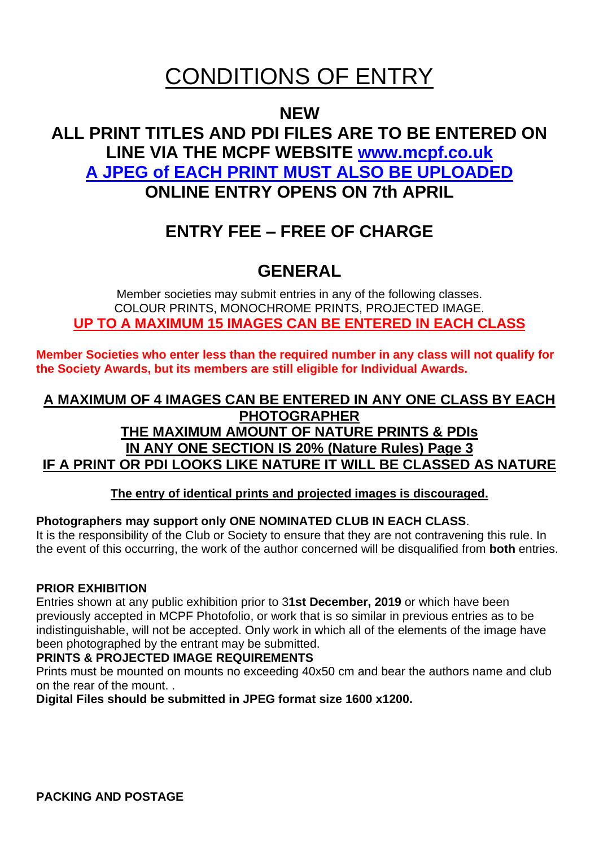# CONDITIONS OF ENTRY

## **NEW**

# **ALL PRINT TITLES AND PDI FILES ARE TO BE ENTERED ON LINE VIA THE MCPF WEBSITE [www.mcpf.co.uk](http://www.mcpf.co.uk/) A JPEG of EACH PRINT MUST ALSO BE UPLOADED ONLINE ENTRY OPENS ON 7th APRIL**

# **ENTRY FEE – FREE OF CHARGE**

# **GENERAL**

Member societies may submit entries in any of the following classes. COLOUR PRINTS, MONOCHROME PRINTS, PROJECTED IMAGE. **UP TO A MAXIMUM 15 IMAGES CAN BE ENTERED IN EACH CLASS**

**Member Societies who enter less than the required number in any class will not qualify for the Society Awards, but its members are still eligible for Individual Awards.**

## **A MAXIMUM OF 4 IMAGES CAN BE ENTERED IN ANY ONE CLASS BY EACH PHOTOGRAPHER THE MAXIMUM AMOUNT OF NATURE PRINTS & PDIs IN ANY ONE SECTION IS 20% (Nature Rules) Page 3 IF A PRINT OR PDI LOOKS LIKE NATURE IT WILL BE CLASSED AS NATURE**

**The entry of identical prints and projected images is discouraged.**

## **Photographers may support only ONE NOMINATED CLUB IN EACH CLASS**.

It is the responsibility of the Club or Society to ensure that they are not contravening this rule. In the event of this occurring, the work of the author concerned will be disqualified from **both** entries.

## **PRIOR EXHIBITION**

Entries shown at any public exhibition prior to 3**1st December, 2019** or which have been previously accepted in MCPF Photofolio, or work that is so similar in previous entries as to be indistinguishable, will not be accepted. Only work in which all of the elements of the image have been photographed by the entrant may be submitted.

## **PRINTS & PROJECTED IMAGE REQUIREMENTS**

Prints must be mounted on mounts no exceeding 40x50 cm and bear the authors name and club on the rear of the mount. .

**Digital Files should be submitted in JPEG format size 1600 x1200.**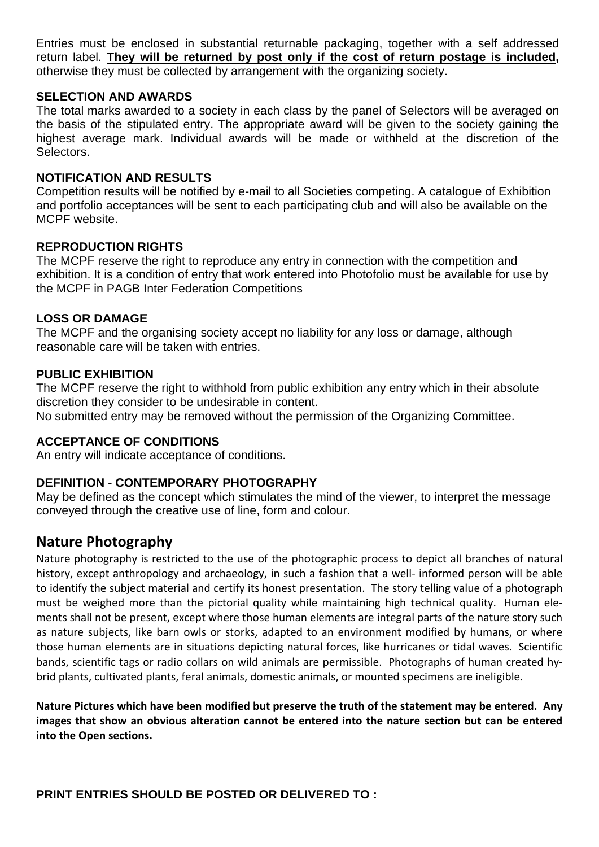Entries must be enclosed in substantial returnable packaging, together with a self addressed return label. **They will be returned by post only if the cost of return postage is included,** otherwise they must be collected by arrangement with the organizing society.

#### **SELECTION AND AWARDS**

The total marks awarded to a society in each class by the panel of Selectors will be averaged on the basis of the stipulated entry. The appropriate award will be given to the society gaining the highest average mark. Individual awards will be made or withheld at the discretion of the **Selectors** 

#### **NOTIFICATION AND RESULTS**

Competition results will be notified by e-mail to all Societies competing. A catalogue of Exhibition and portfolio acceptances will be sent to each participating club and will also be available on the MCPF website.

#### **REPRODUCTION RIGHTS**

The MCPF reserve the right to reproduce any entry in connection with the competition and exhibition. It is a condition of entry that work entered into Photofolio must be available for use by the MCPF in PAGB Inter Federation Competitions

#### **LOSS OR DAMAGE**

The MCPF and the organising society accept no liability for any loss or damage, although reasonable care will be taken with entries.

#### **PUBLIC EXHIBITION**

The MCPF reserve the right to withhold from public exhibition any entry which in their absolute discretion they consider to be undesirable in content. No submitted entry may be removed without the permission of the Organizing Committee.

#### **ACCEPTANCE OF CONDITIONS**

An entry will indicate acceptance of conditions.

#### **DEFINITION - CONTEMPORARY PHOTOGRAPHY**

May be defined as the concept which stimulates the mind of the viewer, to interpret the message conveyed through the creative use of line, form and colour.

## **Nature Photography**

Nature photography is restricted to the use of the photographic process to depict all branches of natural history, except anthropology and archaeology, in such a fashion that a well- informed person will be able to identify the subject material and certify its honest presentation. The story telling value of a photograph must be weighed more than the pictorial quality while maintaining high technical quality. Human elements shall not be present, except where those human elements are integral parts of the nature story such as nature subjects, like barn owls or storks, adapted to an environment modified by humans, or where those human elements are in situations depicting natural forces, like hurricanes or tidal waves. Scientific bands, scientific tags or radio collars on wild animals are permissible. Photographs of human created hybrid plants, cultivated plants, feral animals, domestic animals, or mounted specimens are ineligible.

**Nature Pictures which have been modified but preserve the truth of the statement may be entered. Any images that show an obvious alteration cannot be entered into the nature section but can be entered into the Open sections.**